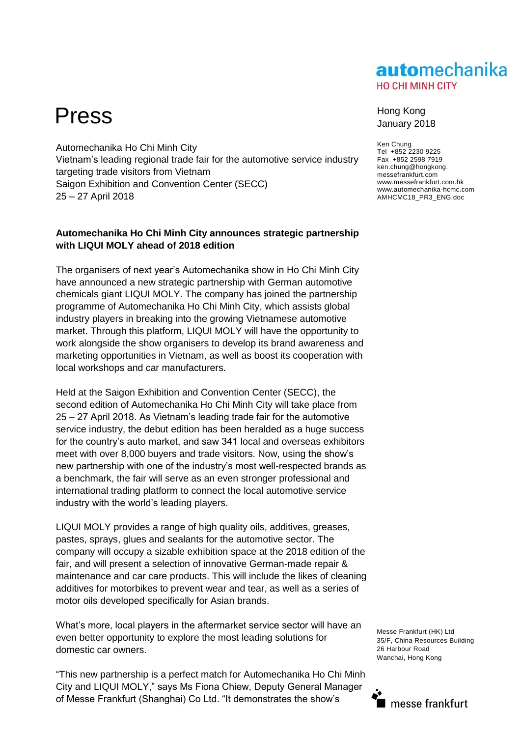### automechanika **HO CHI MINH CITY**

# Press Hong Kong

Automechanika Ho Chi Minh City Vietnam's leading regional trade fair for the automotive service industry targeting trade visitors from Vietnam Saigon Exhibition and Convention Center (SECC) 25 – 27 April 2018

### **Automechanika Ho Chi Minh City announces strategic partnership with LIQUI MOLY ahead of 2018 edition**

The organisers of next year's Automechanika show in Ho Chi Minh City have announced a new strategic partnership with German automotive chemicals giant LIQUI MOLY. The company has joined the partnership programme of Automechanika Ho Chi Minh City, which assists global industry players in breaking into the growing Vietnamese automotive market. Through this platform, LIQUI MOLY will have the opportunity to work alongside the show organisers to develop its brand awareness and marketing opportunities in Vietnam, as well as boost its cooperation with local workshops and car manufacturers.

Held at the Saigon Exhibition and Convention Center (SECC), the second edition of Automechanika Ho Chi Minh City will take place from 25 – 27 April 2018. As Vietnam's leading trade fair for the automotive service industry, the debut edition has been heralded as a huge success for the country's auto market, and saw 341 local and overseas exhibitors meet with over 8,000 buyers and trade visitors. Now, using the show's new partnership with one of the industry's most well-respected brands as a benchmark, the fair will serve as an even stronger professional and international trading platform to connect the local automotive service industry with the world's leading players.

LIQUI MOLY provides a range of high quality oils, additives, greases, pastes, sprays, glues and sealants for the automotive sector. The company will occupy a sizable exhibition space at the 2018 edition of the fair, and will present a selection of innovative German-made repair & maintenance and car care products. This will include the likes of cleaning additives for motorbikes to prevent wear and tear, as well as a series of motor oils developed specifically for Asian brands.

What's more, local players in the aftermarket service sector will have an even better opportunity to explore the most leading solutions for domestic car owners.

"This new partnership is a perfect match for Automechanika Ho Chi Minh City and LIQUI MOLY," says Ms Fiona Chiew, Deputy General Manager of Messe Frankfurt (Shanghai) Co Ltd. "It demonstrates the show's

# January 2018

Ken Chung Tel +852 2230 9225 Fax +852 2598 7919 ken.chung@hongkong. messefrankfurt.com www.messefrankfurt.com.hk www.automechanika-hcmc.com AMHCMC18\_PR3\_ENG.doc

Messe Frankfurt (HK) Ltd 35/F, China Resources Building 26 Harbour Road Wanchai, Hong Kong